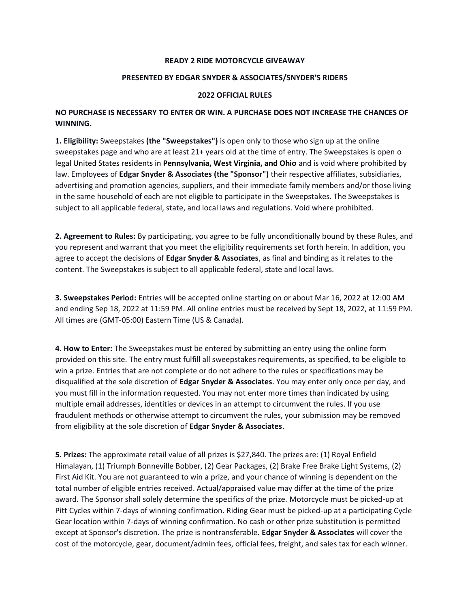## **READY 2 RIDE MOTORCYCLE GIVEAWAY**

## **PRESENTED BY EDGAR SNYDER & ASSOCIATES/SNYDER'S RIDERS**

## **2022 OFFICIAL RULES**

## **NO PURCHASE IS NECESSARY TO ENTER OR WIN. A PURCHASE DOES NOT INCREASE THE CHANCES OF WINNING.**

**1. Eligibility:** Sweepstakes **(the "Sweepstakes")** is open only to those who sign up at the online sweepstakes page and who are at least 21+ years old at the time of entry. The Sweepstakes is open o legal United States residents in **Pennsylvania, West Virginia, and Ohio** and is void where prohibited by law. Employees of **Edgar Snyder & Associates (the "Sponsor")** their respective affiliates, subsidiaries, advertising and promotion agencies, suppliers, and their immediate family members and/or those living in the same household of each are not eligible to participate in the Sweepstakes. The Sweepstakes is subject to all applicable federal, state, and local laws and regulations. Void where prohibited.

**2. Agreement to Rules:** By participating, you agree to be fully unconditionally bound by these Rules, and you represent and warrant that you meet the eligibility requirements set forth herein. In addition, you agree to accept the decisions of **Edgar Snyder & Associates**, as final and binding as it relates to the content. The Sweepstakes is subject to all applicable federal, state and local laws.

**3. Sweepstakes Period:** Entries will be accepted online starting on or about Mar 16, 2022 at 12:00 AM and ending Sep 18, 2022 at 11:59 PM. All online entries must be received by Sept 18, 2022, at 11:59 PM. All times are (GMT-05:00) Eastern Time (US & Canada).

**4. How to Enter:** The Sweepstakes must be entered by submitting an entry using the online form provided on this site. The entry must fulfill all sweepstakes requirements, as specified, to be eligible to win a prize. Entries that are not complete or do not adhere to the rules or specifications may be disqualified at the sole discretion of **Edgar Snyder & Associates**. You may enter only once per day, and you must fill in the information requested. You may not enter more times than indicated by using multiple email addresses, identities or devices in an attempt to circumvent the rules. If you use fraudulent methods or otherwise attempt to circumvent the rules, your submission may be removed from eligibility at the sole discretion of **Edgar Snyder & Associates**.

**5. Prizes:** The approximate retail value of all prizes is \$27,840. The prizes are: (1) Royal Enfield Himalayan, (1) Triumph Bonneville Bobber, (2) Gear Packages, (2) Brake Free Brake Light Systems, (2) First Aid Kit. You are not guaranteed to win a prize, and your chance of winning is dependent on the total number of eligible entries received. Actual/appraised value may differ at the time of the prize award. The Sponsor shall solely determine the specifics of the prize. Motorcycle must be picked-up at Pitt Cycles within 7-days of winning confirmation. Riding Gear must be picked-up at a participating Cycle Gear location within 7-days of winning confirmation. No cash or other prize substitution is permitted except at Sponsor's discretion. The prize is nontransferable. **Edgar Snyder & Associates** will cover the cost of the motorcycle, gear, document/admin fees, official fees, freight, and sales tax for each winner.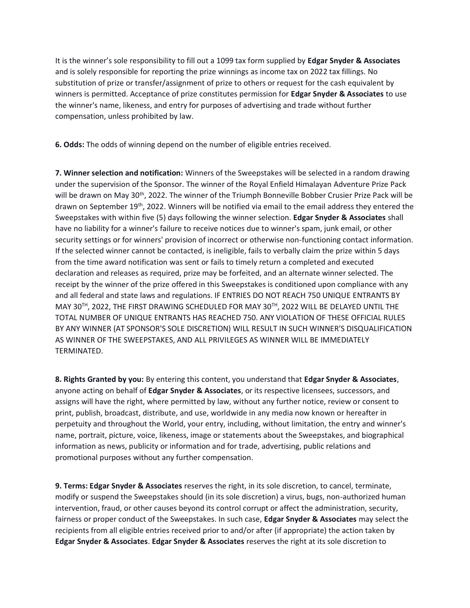It is the winner's sole responsibility to fill out a 1099 tax form supplied by **Edgar Snyder & Associates** and is solely responsible for reporting the prize winnings as income tax on 2022 tax fillings. No substitution of prize or transfer/assignment of prize to others or request for the cash equivalent by winners is permitted. Acceptance of prize constitutes permission for **Edgar Snyder & Associates** to use the winner's name, likeness, and entry for purposes of advertising and trade without further compensation, unless prohibited by law.

**6. Odds:** The odds of winning depend on the number of eligible entries received.

**7. Winner selection and notification:** Winners of the Sweepstakes will be selected in a random drawing under the supervision of the Sponsor. The winner of the Royal Enfield Himalayan Adventure Prize Pack will be drawn on May 30<sup>th</sup>, 2022. The winner of the Triumph Bonneville Bobber Crusier Prize Pack will be drawn on September 19<sup>th</sup>, 2022. Winners will be notified via email to the email address they entered the Sweepstakes with within five (5) days following the winner selection. **Edgar Snyder & Associates** shall have no liability for a winner's failure to receive notices due to winner's spam, junk email, or other security settings or for winners' provision of incorrect or otherwise non-functioning contact information. If the selected winner cannot be contacted, is ineligible, fails to verbally claim the prize within 5 days from the time award notification was sent or fails to timely return a completed and executed declaration and releases as required, prize may be forfeited, and an alternate winner selected. The receipt by the winner of the prize offered in this Sweepstakes is conditioned upon compliance with any and all federal and state laws and regulations. IF ENTRIES DO NOT REACH 750 UNIQUE ENTRANTS BY MAY 30TH, 2022, THE FIRST DRAWING SCHEDULED FOR MAY 30TH, 2022 WILL BE DELAYED UNTIL THE TOTAL NUMBER OF UNIQUE ENTRANTS HAS REACHED 750. ANY VIOLATION OF THESE OFFICIAL RULES BY ANY WINNER (AT SPONSOR'S SOLE DISCRETION) WILL RESULT IN SUCH WINNER'S DISQUALIFICATION AS WINNER OF THE SWEEPSTAKES, AND ALL PRIVILEGES AS WINNER WILL BE IMMEDIATELY TERMINATED.

**8. Rights Granted by you:** By entering this content, you understand that **Edgar Snyder & Associates**, anyone acting on behalf of **Edgar Snyder & Associates**, or its respective licensees, successors, and assigns will have the right, where permitted by law, without any further notice, review or consent to print, publish, broadcast, distribute, and use, worldwide in any media now known or hereafter in perpetuity and throughout the World, your entry, including, without limitation, the entry and winner's name, portrait, picture, voice, likeness, image or statements about the Sweepstakes, and biographical information as news, publicity or information and for trade, advertising, public relations and promotional purposes without any further compensation.

**9. Terms: Edgar Snyder & Associates** reserves the right, in its sole discretion, to cancel, terminate, modify or suspend the Sweepstakes should (in its sole discretion) a virus, bugs, non-authorized human intervention, fraud, or other causes beyond its control corrupt or affect the administration, security, fairness or proper conduct of the Sweepstakes. In such case, **Edgar Snyder & Associates** may select the recipients from all eligible entries received prior to and/or after (if appropriate) the action taken by **Edgar Snyder & Associates**. **Edgar Snyder & Associates** reserves the right at its sole discretion to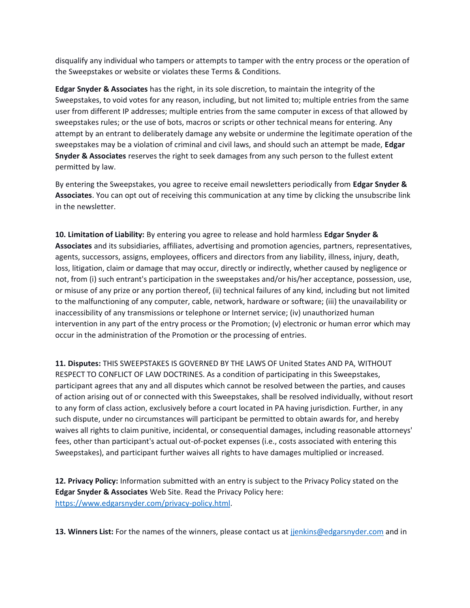disqualify any individual who tampers or attempts to tamper with the entry process or the operation of the Sweepstakes or website or violates these Terms & Conditions.

**Edgar Snyder & Associates** has the right, in its sole discretion, to maintain the integrity of the Sweepstakes, to void votes for any reason, including, but not limited to; multiple entries from the same user from different IP addresses; multiple entries from the same computer in excess of that allowed by sweepstakes rules; or the use of bots, macros or scripts or other technical means for entering. Any attempt by an entrant to deliberately damage any website or undermine the legitimate operation of the sweepstakes may be a violation of criminal and civil laws, and should such an attempt be made, **Edgar Snyder & Associates** reserves the right to seek damages from any such person to the fullest extent permitted by law.

By entering the Sweepstakes, you agree to receive email newsletters periodically from **Edgar Snyder & Associates**. You can opt out of receiving this communication at any time by clicking the unsubscribe link in the newsletter.

**10. Limitation of Liability:** By entering you agree to release and hold harmless **Edgar Snyder & Associates** and its subsidiaries, affiliates, advertising and promotion agencies, partners, representatives, agents, successors, assigns, employees, officers and directors from any liability, illness, injury, death, loss, litigation, claim or damage that may occur, directly or indirectly, whether caused by negligence or not, from (i) such entrant's participation in the sweepstakes and/or his/her acceptance, possession, use, or misuse of any prize or any portion thereof, (ii) technical failures of any kind, including but not limited to the malfunctioning of any computer, cable, network, hardware or software; (iii) the unavailability or inaccessibility of any transmissions or telephone or Internet service; (iv) unauthorized human intervention in any part of the entry process or the Promotion; (v) electronic or human error which may occur in the administration of the Promotion or the processing of entries.

**11. Disputes:** THIS SWEEPSTAKES IS GOVERNED BY THE LAWS OF United States AND PA, WITHOUT RESPECT TO CONFLICT OF LAW DOCTRINES. As a condition of participating in this Sweepstakes, participant agrees that any and all disputes which cannot be resolved between the parties, and causes of action arising out of or connected with this Sweepstakes, shall be resolved individually, without resort to any form of class action, exclusively before a court located in PA having jurisdiction. Further, in any such dispute, under no circumstances will participant be permitted to obtain awards for, and hereby waives all rights to claim punitive, incidental, or consequential damages, including reasonable attorneys' fees, other than participant's actual out-of-pocket expenses (i.e., costs associated with entering this Sweepstakes), and participant further waives all rights to have damages multiplied or increased.

**12. Privacy Policy:** Information submitted with an entry is subject to the Privacy Policy stated on the **Edgar Snyder & Associates** Web Site. Read the Privacy Policy here: [https://www.edgarsnyder.com/privacy-policy.html.](https://www.edgarsnyder.com/privacy-policy.html)

13. Winners List: For the names of the winners, please contact us at jienkins@edgarsnyder.com and in